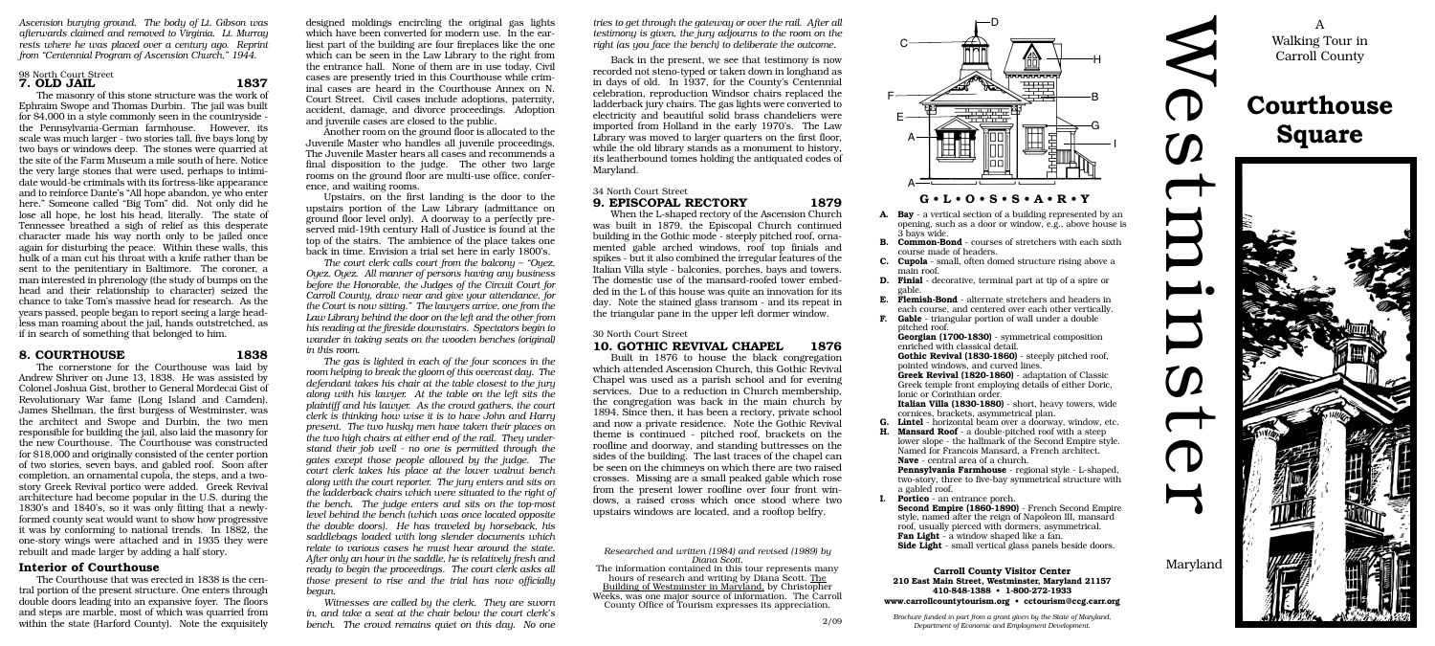W

 $\bigcirc$ 

 $\mathcal{D}% _{M_{1},M_{2}}^{\alpha,\beta}(\varepsilon)$ 

 $\bf U$ 

 $\bf \rm I$ 

 $\boldsymbol{\mathcal{D}}$ 

 $\bigcirc$ 

 $\blacktriangleright$ 

# **Courthouse Square**



A Walking Tour in Carroll County

**A. Bay** - a vertical section of a building represented by an opening, such as a door or window, e.g., above house is 3 bays wide.

**B. Common-Bond** - courses of stretchers with each sixth course made of headers.

**C. Cupola** - small, often domed structure rising above a main roof.

**D. Finial** - decorative, terminal part at tip of a spire or gable.

**E. Flemish-Bond** - alternate stretchers and headers in each course, and centered over each other vertically. **F. Gable** - triangular portion of wall under a double pitched roof.

**Lintel** - horizontal beam over a doorway, window, etc. **H. Mansard Roof** - a double-pitched roof with a steep lower slope - the hallmark of the Second Empire style. Named for Francois Mansard, a French architect. **Nave** - central area of a church.

**Georgian (1700-1830)** - symmetrical composition enriched with classical detail.

**Gothic Revival (1830-1860)** - steeply pitched roof, pointed windows, and curved lines.

**Greek Revival (1820-1860)** - adaptation of Classic Greek temple front employing details of either Doric, Ionic or Corinthian order.

**Italian Villa (1830-1880)** - short, heavy towers, wide cornices, brackets, asymmetrical plan.

**Pennsylvania Farmhouse** - regional style - L-shaped, two-story, three to five-bay symmetrical structure with a gabled roof.

**I. Portico** - an entrance porch.

**Second Empire (1860-1890)** - French Second Empire style, named after the reign of Napoleon III, mansard roof, usually pierced with dormers, asymmetrical.

**Fan Light** - a window shaped like a fan.

**Side Light** - small vertical glass panels beside doors.

**Carroll County Visitor Center 210 East Main Street, Westminster, Maryland 21157 410-848-1388 • 1-800-272-1933 www.carrollcountytourism.org • cctourism@ccg.carr.org**

*Brochure funded in part from a grant given by the State of Maryland, Department of Economic and Employment Development.*

designed moldings encircling the original gas lights which have been converted for modern use. In the earliest part of the building are four fireplaces like the one which can be seen in the Law Library to the right from the entrance hall. None of them are in use today. Civil cases are presently tried in this Courthouse while criminal cases are heard in the Courthouse Annex on N. Court Street. Civil cases include adoptions, paternity, accident, damage, and divorce proceedings. Adoption and juvenile cases are closed to the public.

Another room on the ground floor is allocated to the Juvenile Master who handles all juvenile proceedings. The Juvenile Master hears all cases and recommends a final disposition to the judge. The other two large rooms on the ground floor are multi-use office, conference, and waiting rooms.

Upstairs, on the first landing is the door to the upstairs portion of the Law Library (admittance on ground floor level only). A doorway to a perfectly preserved mid-19th century Hall of Justice is found at the top of the stairs. The ambience of the place takes one back in time. Envision a trial set here in early 1800's.

*The court clerk calls court from the balcony – "Oyez, Oyez, Oyez. All manner of persons having any business before the Honorable, the Judges of the Circuit Court for Carroll County, draw near and give your attendance, for the Court is now sitting." The lawyers arrive, one from the Law Library behind the door on the left and the other from his reading at the fireside downstairs. Spectators begin to wander in taking seats on the wooden benches (original) in this room.*

*The gas is lighted in each of the four sconces in the room helping to break the gloom of this overcast day. The defendant takes his chair at the table closest to the jury along with his lawyer. At the table on the left sits the plaintiff and his lawyer. As the crowd gathers, the court clerk is thinking how wise it is to have John and Harry present. The two husky men have taken their places on the two high chairs at either end of the rail. They understand their job well - no one is permitted through the gates except those people allowed by the judge. The court clerk takes his place at the lower walnut bench along with the court reporter. The jury enters and sits on the ladderback chairs which were situated to the right of the bench. The judge enters and sits on the top-most level behind the bench (which was once located opposite the double doors). He has traveled by horseback, his saddlebags loaded with long slender documents which relate to various cases he must hear around the state. After only an hour in the saddle, he is relatively fresh and ready to begin the proceedings. The court clerk asks all those present to rise and the trial has now officially begun.*

*Witnesses are called by the clerk. They are sworn in, and take a seat at the chair below the court clerk's bench. The crowd remains quiet on this day. No one*

*Ascension burying ground. The body of Lt. Gibson was afterwards claimed and removed to Virginia. Lt. Murray rests where he was placed over a century ago. Reprint from "Centennial Program of Ascension Church," 1944.*



### 98 North Court Street

# **7. OLD JAIL 1837**

The masonry of this stone structure was the work of Ephraim Swope and Thomas Durbin. The jail was built for \$4,000 in a style commonly seen in the countryside the Pennsylvania-German farmhouse. However, its scale was much larger - two stories tall, five bays long by two bays or windows deep. The stones were quarried at the site of the Farm Museum a mile south of here. Notice the very large stones that were used, perhaps to intimidate would-be criminals with its fortress-like appearance and to reinforce Dante's "All hope abandon, ye who enter here." Someone called "Big Tom" did. Not only did he lose all hope, he lost his head, literally. The state of Tennessee breathed a sigh of relief as this desperate character made his way north only to be jailed once again for disturbing the peace. Within these walls, this hulk of a man cut his throat with a knife rather than be sent to the penitentiary in Baltimore. The coroner, a man interested in phrenology (the study of bumps on the head and their relationship to character) seized the chance to take Tom's massive head for research. As the years passed, people began to report seeing a large headless man roaming about the jail, hands outstretched, as if in search of something that belonged to him.

# **8. COURTHOUSE 1838**

The cornerstone for the Courthouse was laid by Andrew Shriver on June 13, 1838. He was assisted by Colonel Joshua Gist, brother to General Mordecai Gist of Revolutionary War fame (Long Island and Camden). James Shellman, the first burgess of Westminster, was the architect and Swope and Durbin, the two men responsible for building the jail, also laid the masonry for the new Courthouse. The Courthouse was constructed for \$18,000 and originally consisted of the center portion of two stories, seven bays, and gabled roof. Soon after completion, an ornamental cupola, the steps, and a twostory Greek Revival portico were added. Greek Revival architecture had become popular in the U.S. during the 1830's and 1840's, so it was only fitting that a newlyformed county seat would want to show how progressive it was by conforming to national trends. In 1882, the one-story wings were attached and in 1935 they were rebuilt and made larger by adding a half story.

# **Interior of Courthouse**

The Courthouse that was erected in 1838 is the central portion of the present structure. One enters through double doors leading into an expansive foyer. The floors and steps are marble, most of which was quarried from within the state (Harford County). Note the exquisitely

*tries to get through the gateway or over the rail. After all testimony is given, the jury adjourns to the room on the right (as you face the bench) to deliberate the outcome.*

Back in the present, we see that testimony is now recorded not steno-typed or taken down in longhand as in days of old. In 1937, for the County's Centennial celebration, reproduction Windsor chairs replaced the ladderback jury chairs. The gas lights were converted to electricity and beautiful solid brass chandeliers were imported from Holland in the early 1970's. The Law Library was moved to larger quarters on the first floor, while the old library stands as a monument to history, its leatherbound tomes holding the antiquated codes of Maryland.

#### 34 North Court Street

#### **9. EPISCOPAL RECTORY 1879**

When the L-shaped rectory of the Ascension Church was built in 1879, the Episcopal Church continued building in the Gothic mode - steeply pitched roof, ornamented gable arched windows, roof top finials and spikes - but it also combined the irregular features of the Italian Villa style - balconies, porches, bays and towers. The domestic use of the mansard-roofed tower embedded in the L of this house was quite an innovation for its day. Note the stained glass transom - and its repeat in the triangular pane in the upper left dormer window.

30 North Court Street

# **10. GOTHIC REVIVAL CHAPEL 1876**

Built in 1876 to house the black congregation which attended Ascension Church, this Gothic Revival Chapel was used as a parish school and for evening services. Due to a reduction in Church membership, the congregation was back in the main church by 1894. Since then, it has been a rectory, private school and now a private residence. Note the Gothic Revival theme is continued - pitched roof, brackets on the roofline and doorway, and standing buttresses on the sides of the building. The last traces of the chapel can be seen on the chimneys on which there are two raised crosses. Missing are a small peaked gable which rose from the present lower roofline over four front windows, a raised cross which once stood where two upstairs windows are located, and a rooftop belfry.

County Office of Tourism expresses its appreciation.

*Researched and written (1984) and revised (1989) by Diana Scott.*

The information contained in this tour represents many hours of research and writing by Diana Scott. The Building of Westminster in Maryland, by Christopher Weeks, was one major source of information. The Carroll